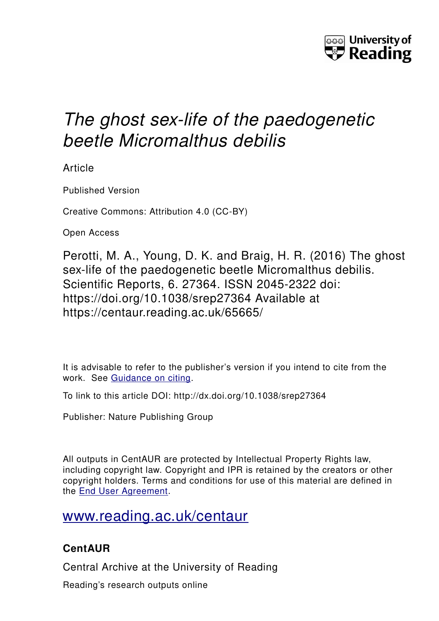

## *The ghost sex-life of the paedogenetic beetle Micromalthus debilis*

Article

Published Version

Creative Commons: Attribution 4.0 (CC-BY)

Open Access

Perotti, M. A., Young, D. K. and Braig, H. R. (2016) The ghost sex-life of the paedogenetic beetle Micromalthus debilis. Scientific Reports, 6. 27364. ISSN 2045-2322 doi: https://doi.org/10.1038/srep27364 Available at https://centaur.reading.ac.uk/65665/

It is advisable to refer to the publisher's version if you intend to cite from the work. See [Guidance on citing.](http://centaur.reading.ac.uk/71187/10/CentAUR%20citing%20guide.pdf)

To link to this article DOI: http://dx.doi.org/10.1038/srep27364

Publisher: Nature Publishing Group

All outputs in CentAUR are protected by Intellectual Property Rights law, including copyright law. Copyright and IPR is retained by the creators or other copyright holders. Terms and conditions for use of this material are defined in the [End User Agreement.](http://centaur.reading.ac.uk/licence)

## [www.reading.ac.uk/centaur](http://www.reading.ac.uk/centaur)

### **CentAUR**

Central Archive at the University of Reading

Reading's research outputs online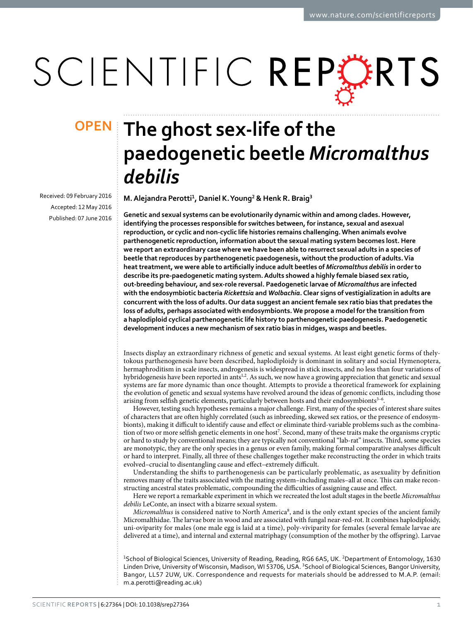# SCIENTIFIC REPERTS

Received: 09 February 2016 accepted: 12 May 2016 Published: 07 June 2016

# **The ghost sex-life of the OPENpaedogenetic beetle** *Micromalthus debilis*

**M.Alejandra Perotti<sup>1</sup>, Daniel K.Young<sup>2</sup> & Henk R. Braig<sup>3</sup>**

**Genetic and sexual systems can be evolutionarily dynamic within and among clades. However, identifying the processes responsible for switches between, for instance, sexual and asexual reproduction, or cyclic and non-cyclic life histories remains challenging. When animals evolve parthenogenetic reproduction, information about the sexual mating system becomes lost. Here we report an extraordinary case where we have been able to resurrect sexual adults in a species of beetle that reproduces by parthenogenetic paedogenesis, without the production of adults. Via heat treatment, we were able to artificially induce adult beetles of** *Micromalthus debilis* **in order to describe its pre-paedogenetic mating system. Adults showed a highly female biased sex ratio, out-breeding behaviour, and sex-role reversal. Paedogenetic larvae of** *Micromalthus* **are infected with the endosymbiotic bacteria** *Rickettsia* **and** *Wolbachia***. Clear signs of vestigialization in adults are concurrent with the loss of adults. Our data suggest an ancient female sex ratio bias that predates the loss of adults, perhaps associated with endosymbionts. We propose a model for the transition from a haplodiploid cyclical parthenogenetic life history to parthenogenetic paedogenesis. Paedogenetic development induces a new mechanism of sex ratio bias in midges, wasps and beetles.**

Insects display an extraordinary richness of genetic and sexual systems. At least eight genetic forms of thelytokous parthenogenesis have been described, haplodiploidy is dominant in solitary and social Hymenoptera, hermaphroditism in scale insects, androgenesis is widespread in stick insects, and no less than four variations of hybridogenesis have been reported in ants<sup>[1](#page-8-0),[2](#page-8-1)</sup>. As such, we now have a growing appreciation that genetic and sexual systems are far more dynamic than once thought. Attempts to provide a theoretical framework for explaining the evolution of genetic and sexual systems have revolved around the ideas of genomic conflicts, including those arising from selfish genetic elements, particularly between hosts and their endosymbionts<sup>3-6</sup>.

However, testing such hypotheses remains a major challenge. First, many of the species of interest share suites of characters that are often highly correlated (such as inbreeding, skewed sex ratios, or the presence of endosymbionts), making it difficult to identify cause and effect or eliminate third-variable problems such as the combina-tion of two or more selfish genetic elements in one host<sup>[7](#page-9-1)</sup>. Second, many of these traits make the organisms cryptic or hard to study by conventional means; they are typically not conventional "lab-rat" insects. Third, some species are monotypic, they are the only species in a genus or even family, making formal comparative analyses difficult or hard to interpret. Finally, all three of these challenges together make reconstructing the order in which traits evolved–crucial to disentangling cause and effect–extremely difficult.

Understanding the shifts to parthenogenesis can be particularly problematic, as asexuality by definition removes many of the traits associated with the mating system–including males–all at once. This can make reconstructing ancestral states problematic, compounding the difficulties of assigning cause and effect.

Here we report a remarkable experiment in which we recreated the lost adult stages in the beetle *Micromalthus debilis* LeConte, an insect with a bizarre sexual system.

Micromalthus is considered native to North America<sup>[8](#page-9-2)</sup>, and is the only extant species of the ancient family Micromalthidae. The larvae bore in wood and are associated with fungal near-red-rot. It combines haplodiploidy, uni-oviparity for males (one male egg is laid at a time), poly-viviparity for females (several female larvae are delivered at a time), and internal and external matriphagy (consumption of the mother by the offspring). Larvae

<sup>1</sup>School of Biological Sciences, University of Reading, Reading, RG6 6AS, UK. <sup>2</sup>Department of Entomology, 1630 Linden Drive, University of Wisconsin, Madison, WI 53706, USA. <sup>3</sup>School of Biological Sciences, Bangor University, Bangor, LL57 2UW, UK. Correspondence and requests for materials should be addressed to M.A.P. (email: [m.a.perotti@reading.ac.uk\)](mailto:m.a.perotti@reading.ac.uk)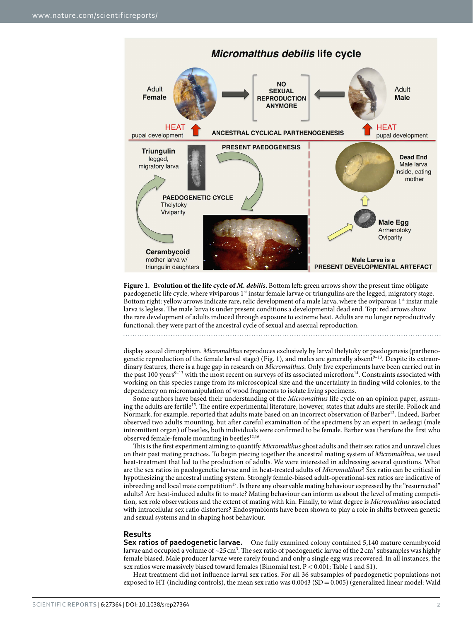

<span id="page-2-0"></span>**Figure 1. Evolution of the life cycle of** *M. debilis***.** Bottom left: green arrows show the present time obligate paedogenetic life cycle, where viviparous 1<sup>st</sup> instar female larvae or triungulins are the legged, migratory stage. Bottom right: yellow arrows indicate rare, relic development of a male larva, where the oviparous 1<sup>st</sup> instar male larva is legless. The male larva is under present conditions a developmental dead end. Top: red arrows show the rare development of adults induced through exposure to extreme heat. Adults are no longer reproductively functional; they were part of the ancestral cycle of sexual and asexual reproduction.

display sexual dimorphism. *Micromalthus* reproduces exclusively by larval thelytoky or paedogenesis (partheno-genetic reproduction of the female larval stage) ([Fig. 1\)](#page-2-0), and males are generally absent<sup>9-13</sup>. Despite its extraordinary features, there is a huge gap in research on *Micromalthus*. Only five experiments have been carried out in the past 100 years<sup>9–13</sup> with the most recent on surveys of its associated microflora<sup>[14](#page-9-4)</sup>. Constraints associated with working on this species range from its microscopical size and the uncertainty in finding wild colonies, to the dependency on micromanipulation of wood fragments to isolate living specimens.

Some authors have based their understanding of the *Micromalthus* life cycle on an opinion paper, assuming the adults are fertile<sup>15</sup>. The entire experimental literature, however, states that adults are sterile. Pollock and Normark, for example, reported that adults mate based on an incorrect observation of Barber<sup>12</sup>. Indeed, Barber observed two adults mounting, but after careful examination of the specimens by an expert in aedeagi (male intromittent organ) of beetles, both individuals were confirmed to be female. Barber was therefore the first who observed female-female mounting in beetles<sup>12,16</sup>.

This is the first experiment aiming to quantify *Micromalthus* ghost adults and their sex ratios and unravel clues on their past mating practices. To begin piecing together the ancestral mating system of *Micromalthus*, we used heat-treatment that led to the production of adults. We were interested in addressing several questions. What are the sex ratios in paedogenetic larvae and in heat-treated adults of *Micromalthus*? Sex ratio can be critical in hypothesizing the ancestral mating system. Strongly female-biased adult-operational-sex ratios are indicative of inbreeding and local mate competition<sup>17</sup>. Is there any observable mating behaviour expressed by the "resurrected" adults? Are heat-induced adults fit to mate? Mating behaviour can inform us about the level of mating competition, sex role observations and the extent of mating with kin. Finally, to what degree is *Micromalthus* associated with intracellular sex ratio distorters? Endosymbionts have been shown to play a role in shifts between genetic and sexual systems and in shaping host behaviour.

#### **Results**

**Sex ratios of paedogenetic larvae.** One fully examined colony contained 5,140 mature cerambycoid larvae and occupied a volume of ~25 cm<sup>3</sup>. The sex ratio of paedogenetic larvae of the 2 cm<sup>3</sup> subsamples was highly female biased. Male producer larvae were rarely found and only a single egg was recovered. In all instances, the sex ratios were massively biased toward females (Binomial test,  $P < 0.001$ ; [Table 1](#page-3-0) and S1).

Heat treatment did not influence larval sex ratios. For all 36 subsamples of paedogenetic populations not exposed to HT (including controls), the mean sex ratio was  $0.0043$  (SD = 0.005) (generalized linear model: Wald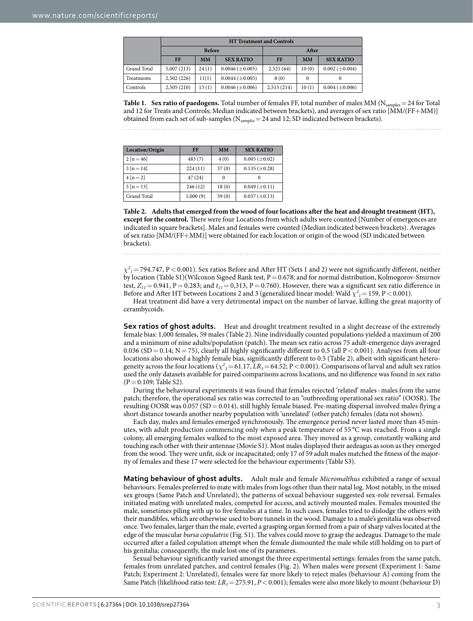<span id="page-3-0"></span>

|             | <b>HT Treatment and Controls</b> |           |                         |             |           |                       |
|-------------|----------------------------------|-----------|-------------------------|-------------|-----------|-----------------------|
|             | <b>Before</b>                    |           |                         | After       |           |                       |
|             | <b>FF</b>                        | <b>MM</b> | <b>SEX RATIO</b>        | FF          | <b>MM</b> | <b>SEX RATIO</b>      |
| Grand Total | 5,007(213)                       | 24(1)     | $0.0046 \, (\pm 0.005)$ | 2,521(64)   | 10(0)     | $0.002 \ (\pm 0.004)$ |
| Treatments  | 2,502(226)                       | 11(1)     | $0.0044 \ (\pm 0.005)$  | 8(0)        | $\theta$  |                       |
| Controls    | 2,505(210)                       | 13(1)     | $0.0046 \, (\pm 0.006)$ | 2,513 (214) | 10(1)     | $0.004 \ (\pm 0.006)$ |

**Table 1.** Sex ratio of paedogens. Total number of females FF, total number of males MM ( $N_{samples} = 24$  for Total and 12 for Treats and Controls; Median indicated between brackets), and averages of sex ratio [MM/(FF+MM)] obtained from each set of sub-samples (N*samples*=24 and 12; SD indicated between brackets).

<span id="page-3-1"></span>

| Location/Origin | FF       | <b>MM</b> | <b>SEX RATIO</b>      |  |
|-----------------|----------|-----------|-----------------------|--|
| $2[n=46]$       | 483(7)   | 4(0)      | $0.005 \ (\pm 0.02)$  |  |
| $3[n=14]$       | 224(11)  | 37(0)     | $0.135 \ (\pm 0.28)$  |  |
| $4[n=2]$        | 47(24)   | $\Omega$  |                       |  |
| $5[n=13]$       | 246(12)  | 18(0)     | $0.049 \ (\pm 0.11)$  |  |
| Grand Total     | 1,000(9) | 59(0)     | $0.037 \, (\pm 0.13)$ |  |

**Table 2. Adults that emerged from the wood of four locations after the heat and drought treatment (HT), except for the control.** There were four Locations from which adults were counted [Number of emergences are indicated in square brackets]. Males and females were counted (Median indicated between brackets). Averages of sex ratio [MM/(FF+MM)] were obtained for each location or origin of the wood (SD indicated between brackets).

 $\chi^2_{\rm I}$  = 794.747, P < 0.001). Sex ratios Before and After HT (Sets 1 and 2) were not significantly different, neither by location (Table S1)(Wilcoxon Signed Rank test, P = 0.678; and for normal distribution, Kolmogorov-Smirnov test,  $Z_{11}$  = 0.941, P = 0.283; and  $t_{11}$  = 0,313, P = 0.760). However, there was a significant sex ratio difference in Before and After HT between Locations 2 and 3 (generalized linear model: Wald  $\chi^2_{\,\,I}$  = 159, P < 0.001).

Heat treatment did have a very detrimental impact on the number of larvae, killing the great majority of cerambycoids.

**Sex ratios of ghost adults.** Heat and drought treatment resulted in a slight decrease of the extremely female bias: 1,000 females, 59 males ([Table 2](#page-3-1)). Nine individually counted populations yielded a maximum of 200 and a minimum of nine adults/population (patch). The mean sex ratio across 75 adult-emergence days averaged 0.036 (SD = 0.14; N = 75), clearly all highly significantly different to 0.5 (all P < 0.001). Analyses from all four locations also showed a highly female bias, significantly different to 0.5 [\(Table 2](#page-3-1)), albeit with significant heterogeneity across the four locations ( $\chi^2$ <sub>3</sub> = 61.17, *LR*<sub>3</sub> = 64.52; P < 0.001). Comparisons of larval and adult sex ratios used the only datasets available for paired comparisons across locations, and no difference was found in sex ratio  $(P=0.109;$  Table S2).

During the behavioural experiments it was found that females rejected 'related' males-males from the same patch; therefore, the operational sex ratio was corrected to an "outbreeding operational sex ratio" (OOSR). The resulting OOSR was 0.057 (SD = 0.014), still highly female biased. Pre-mating dispersal involved males flying a short distance towards another nearby population with 'unrelated' (other patch) females (data not shown).

Each day, males and females emerged synchronously. The emergence period never lasted more than 45 minutes, with adult production commencing only when a peak temperature of 55 °C was reached. From a single colony, all emerging females walked to the most exposed area. They moved as a group, constantly walking and touching each other with their antennae (Movie S1). Most males displayed their aedeagus as soon as they emerged from the wood. They were unfit, sick or incapacitated; only 17 of 59 adult males matched the fitness of the majority of females and these 17 were selected for the behaviour experiments (Table S3).

**Mating behaviour of ghost adults.** Adult male and female *Micromalthus* exhibited a range of sexual behaviours. Females preferred to mate with males from logs other than their natal log. Most notably, in the mixed sex groups (Same Patch and Unrelated), the patterns of sexual behaviour suggested sex-role reversal. Females initiated mating with unrelated males, competed for access, and actively mounted males. Females mounted the male, sometimes piling with up to five females at a time. In such cases, females tried to dislodge the others with their mandibles, which are otherwise used to bore tunnels in the wood. Damage to a male's genitalia was observed once. Two females, larger than the male, everted a grasping organ formed from a pair of sharp valves located at the edge of the muscular *bursa copulatrix* (Fig. S1). The valves could move to grasp the aedeagus. Damage to the male occurred after a failed copulation attempt when the female dismounted the male while still holding on to part of his genitalia; consequently, the male lost one of its parameres.

Sexual behaviour significantly varied amongst the three experimental settings: females from the same patch, females from unrelated patches, and control females ([Fig. 2](#page-4-0)). When males were present (Experiment 1: Same Patch; Experiment 2: Unrelated), females were far more likely to reject males (behaviour A) coming from the Same Patch (likelihood ratio test: *LR<sub>1</sub>*=275.91, *P*<0.001); females were also more likely to mount (behaviour D)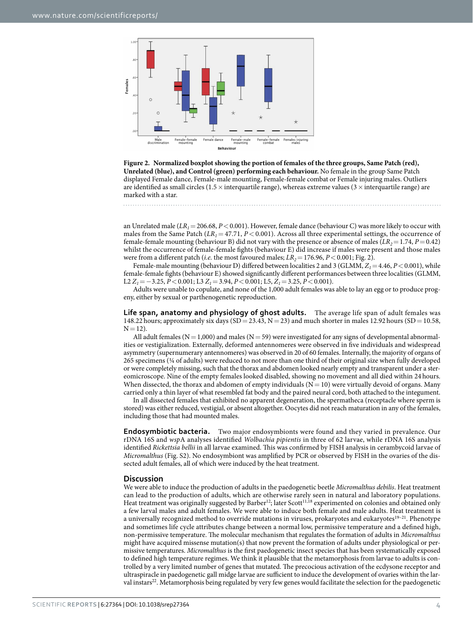

<span id="page-4-0"></span>

an Unrelated male (*LR<sub>1</sub>*=206.68, *P*<0.001). However, female dance (behaviour C) was more likely to occur with males from the Same Patch  $(LR_1 = 47.71, P < 0.001)$ . Across all three experimental settings, the occurrence of female-female mounting (behaviour B) did not vary with the presence or absence of males  $(LR_2=1.74, P=0.42)$ whilst the occurrence of female-female fights (behaviour E) did increase if males were present and those males were from a different patch (*i.e.* the most favoured males;  $LR_2 = 176.96$ ,  $P < 0.001$ ; [Fig. 2](#page-4-0)).

Female-male mounting (behaviour D) differed between localities 2 and 3 (GLMM,  $Z_1 = 4.46$ ,  $P < 0.001$ ), while female-female fights (behaviour E) showed significantly different performances between three localities (GLMM, L2 *Z1*=−3.25, *P*<0.001; L3 *Z1*=3.94, *P*<0.001; L5, *Z1*=3.25, *P*<0.001).

Adults were unable to copulate, and none of the 1,000 adult females was able to lay an egg or to produce progeny, either by sexual or parthenogenetic reproduction.

Life span, anatomy and physiology of ghost adults. The average life span of adult females was 148.22 hours; approximately six days (SD = 23.43, N = 23) and much shorter in males 12.92 hours (SD = 10.58,  $N = 12$ ).

All adult females ( $N=1,000$ ) and males ( $N=59$ ) were investigated for any signs of developmental abnormalities or vestigialization. Externally, deformed antennomeres were observed in five individuals and widespread asymmetry (supernumerary antennomeres) was observed in 20 of 60 females. Internally, the majority of organs of 265 specimens (¼ of adults) were reduced to not more than one third of their original size when fully developed or were completely missing, such that the thorax and abdomen looked nearly empty and transparent under a stereomicroscope. Nine of the empty females looked disabled, showing no movement and all died within 24 hours. When dissected, the thorax and abdomen of empty individuals  $(N= 10)$  were virtually devoid of organs. Many carried only a thin layer of what resembled fat body and the paired neural cord, both attached to the integument.

In all dissected females that exhibited no apparent degeneration, the spermatheca (receptacle where sperm is stored) was either reduced, vestigial, or absent altogether. Oocytes did not reach maturation in any of the females, including those that had mounted males.

**Endosymbiotic bacteria.** Two major endosymbionts were found and they varied in prevalence. Our rDNA 16S and *wsp*A analyses identified *Wolbachia pipientis* in three of 62 larvae, while rDNA 16S analysis identified *Rickettsia bellii* in all larvae examined. This was confirmed by FISH analysis in cerambycoid larvae of *Micromalthus* (Fig. S2). No endosymbiont was amplified by PCR or observed by FISH in the ovaries of the dissected adult females, all of which were induced by the heat treatment.

#### **Discussion**

We were able to induce the production of adults in the paedogenetic beetle *Micromalthus debilis*. Heat treatment can lead to the production of adults, which are otherwise rarely seen in natural and laboratory populations. Heat treatment was originally suggested by Barber<sup>12</sup>; later Scott<sup>[11](#page-9-9),[18](#page-9-10)</sup> experimented on colonies and obtained only a few larval males and adult females. We were able to induce both female and male adults. Heat treatment is a universally recognized method to override mutations in viruses, prokaryotes and eukaryotes<sup>19-21</sup>. Phenotype and sometimes life cycle attributes change between a normal low, permissive temperature and a defined high, non-permissive temperature. The molecular mechanism that regulates the formation of adults in *Micromalthus* might have acquired missense mutation(s) that now prevent the formation of adults under physiological or permissive temperatures. *Micromalthus* is the first paedogenetic insect species that has been systematically exposed to defined high temperature regimes. We think it plausible that the metamorphosis from larvae to adults is controlled by a very limited number of genes that mutated. The precocious activation of the ecdysone receptor and ultraspiracle in paedogenetic gall midge larvae are sufficient to induce the development of ovaries within the larval instars<sup>22</sup>. Metamorphosis being regulated by very few genes would facilitate the selection for the paedogenetic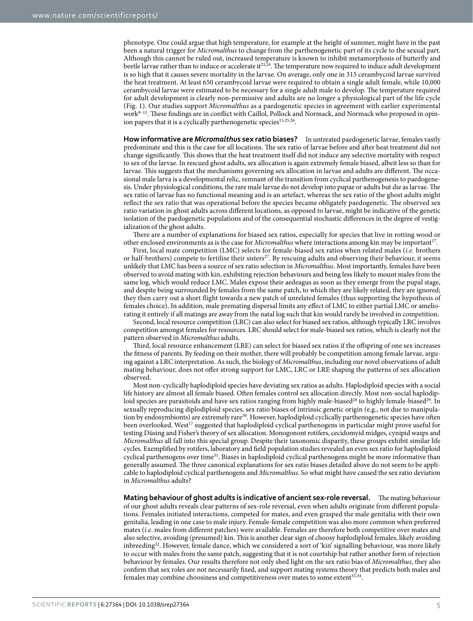phenotype. One could argue that high temperature, for example at the height of summer, might have in the past been a natural trigger for *Micromalthus* to change from the parthenogenetic part of its cycle to the sexual part. Although this cannot be ruled out, increased temperature is known to inhibit metamorphosis of butterfly and beetle larvae rather than to induce or accelerate it<sup>23,24</sup>. The temperature now required to induce adult development is so high that it causes severe mortality in the larvae. On average, only one in 315 cerambycoid larvae survived the heat treatment. At least 650 cerambycoid larvae were required to obtain a single adult female, while 10,000 cerambycoid larvae were estimated to be necessary for a single adult male to develop. The temperature required for adult development is clearly non-permissive and adults are no longer a physiological part of the life cycle ([Fig. 1](#page-2-0)). Our studies support *Micromalthus* as a paedogenetic species in agreement with earlier experimental work[9–13](#page-9-3). These findings are in conflict with Caillol, Pollock and Normack, and Normack who proposed in opin-ion papers that it is a cyclically parthenogenetic species<sup>[15](#page-9-5)[,25](#page-9-15)[,26](#page-9-16)</sup>.

**How informative are** *Micromalthus* **sex ratio biases?** In untreated paedogenetic larvae, females vastly predominate and this is the case for all locations. The sex ratio of larvae before and after heat treatment did not change significantly. This shows that the heat treatment itself did not induce any selective mortality with respect to sex of the larvae. In rescued ghost adults, sex allocation is again extremely female biased, albeit less so than for larvae. This suggests that the mechanisms governing sex allocation in larvae and adults are different. The occasional male larva is a developmental relic, remnant of the transition from cyclical parthenogenesis to paedogenesis. Under physiological conditions, the rare male larvae do not develop into pupae or adults but die as larvae. The sex ratio of larvae has no functional meaning and is an artefact, whereas the sex ratio of the ghost adults might reflect the sex ratio that was operational before the species became obligately paedogenetic. The observed sex ratio variation in ghost adults across different locations, as opposed to larvae, might be indicative of the genetic isolation of the paedogenetic populations and of the consequential stochastic differences in the degree of vestigialization of the ghost adults.

There are a number of explanations for biased sex ratios, especially for species that live in rotting wood or other enclosed environments as is the case for *Micromalthus* where interactions among kin may be important[17](#page-9-8).

First, local mate competition (LMC) selects for female-biased sex ratios when related males (*i.e.* brothers or half-brothers) compete to fertilise their sisters<sup>27</sup>. By rescuing adults and observing their behaviour, it seems unlikely that LMC has been a source of sex ratio selection in *Micromalthus*. Most importantly, females have been observed to avoid mating with kin, exhibiting rejection behaviours and being less likely to mount males from the same log, which would reduce LMC. Males expose their aedeagus as soon as they emerge from the pupal stage, and despite being surrounded by females from the same patch, to which they are likely related, they are ignored; they then carry out a short flight towards a new patch of unrelated females (thus supporting the hypothesis of females choice). In addition, male premating dispersal limits any effect of LMC to either partial LMC or ameliorating it entirely if all matings are away from the natal log such that kin would rarely be involved in competition.

Second, local resource competition (LRC) can also select for biased sex ratios, although typically LRC involves competition amongst females for resources. LRC should select for male-biased sex ratios, which is clearly not the pattern observed in *Micromalthus* adults.

Third, local resource enhancement (LRE) can select for biased sex ratios if the offspring of one sex increases the fitness of parents. By feeding on their mother, there will probably be competition among female larvae, arguing against a LRC interpretation. As such, the biology of *Micromalthus*, including our novel observations of adult mating behaviour, does not offer strong support for LMC, LRC or LRE shaping the patterns of sex allocation observed.

Most non-cyclically haplodiploid species have deviating sex ratios as adults. Haplodiploid species with a social life history are almost all female biased. Often females control sex allocation directly. Most non-social haplodiploid species are parasitoids and have sex ratios ranging from highly male-biased<sup>28</sup> to highly female-biased<sup>29</sup>. In sexually reproducing diplodiploid species, sex ratio biases of intrinsic genetic origin (e.g., not due to manipulation by endosymbionts) are extremely rar[e30.](#page-9-20) However, haplodiploid cyclically parthenogenetic species have often been overlooked. West<sup>17</sup> suggested that haplodiploid cyclical parthenogens in particular might prove useful for testing Düsing and Fisher's theory of sex allocation. Monogonont rotifers, cecidomyid midges, cynipid wasps and *Micromalthus* all fall into this special group. Despite their taxonomic disparity, these groups exhibit similar life cycles. Exemplified by rotifers, laboratory and field population studies revealed an even sex ratio for haplodiploid cyclical parthenogens over time<sup>31</sup>. Biases in haplodiploid cyclical parthenogens might be more informative than generally assumed. The three canonical explanations for sex ratio biases detailed above do not seem to be applicable to haplodiploid cyclical parthenogens and *Micromalthus*. So what might have caused the sex ratio deviation in *Micromalthus* adults?

**Mating behaviour of ghost adults is indicative of ancient sex-role reversal.** The mating behaviour of our ghost adults reveals clear patterns of sex-role reversal, even when adults originate from different populations. Females initiated interactions, competed for mates, and even grasped the male genitalia with their own genitalia, leading in one case to male injury. Female-female competition was also more common when preferred mates (*i.e*. males from different patches) were available. Females are therefore both competitive over mates and also selective, avoiding (presumed) kin. This is another clear sign of choosy haplodiploid females, likely avoiding inbreeding<sup>32</sup>. However, female dance, which we considered a sort of 'kin' signalling behaviour, was more likely to occur with males from the same patch, suggesting that it is not courtship but rather another form of rejection behaviour by females. Our results therefore not only shed light on the sex ratio bias of *Micromalthus*, they also confirm that sex roles are not necessarily fixed, and support mating systems theory that predicts both males and females may combine choosiness and competitiveness over mates to some extent<sup>33[,34](#page-9-24)</sup>.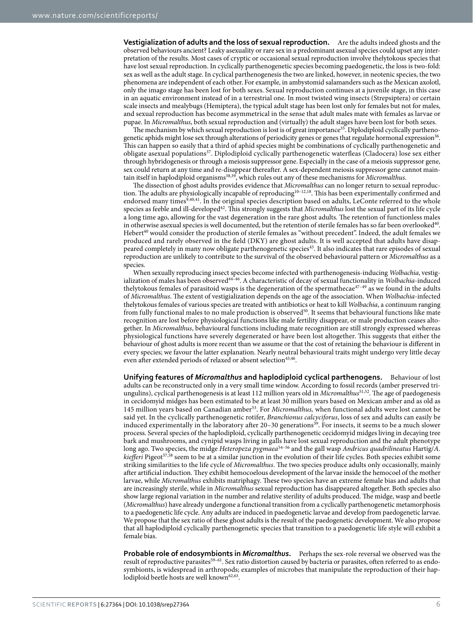**Vestigialization of adults and the loss of sexual reproduction.** Are the adults indeed ghosts and the observed behaviours ancient? Leaky asexuality or rare sex in a predominant asexual species could upset any interpretation of the results. Most cases of cryptic or occasional sexual reproduction involve thelytokous species that have lost sexual reproduction. In cyclically parthenogenetic species becoming paedogenetic, the loss is two-fold: sex as well as the adult stage. In cyclical parthenogenesis the two are linked, however, in neotenic species, the two phenomena are independent of each other. For example, in ambystomid salamanders such as the Mexican axolotl, only the imago stage has been lost for both sexes. Sexual reproduction continues at a juvenile stage, in this case in an aquatic environment instead of in a terrestrial one. In most twisted wing insects (Strepsiptera) or certain scale insects and mealybugs (Hemiptera), the typical adult stage has been lost only for females but not for males, and sexual reproduction has become asymmetrical in the sense that adult males mate with females as larvae or pupae. In *Micromalthus*, both sexual reproduction and (virtually) the adult stages have been lost for both sexes.

The mechanism by which sexual reproduction is lost is of great importance<sup>[35](#page-9-25)</sup>. Diplodiploid cyclically parthenogenetic aphids might lose sex through alterations of periodicity genes or genes that regulate hormonal expression<sup>36</sup>. This can happen so easily that a third of aphid species might be combinations of cyclically parthenogenetic and obligate asexual populations[37.](#page-9-27) Diplodiploid cyclically parthenogenetic waterfleas (Cladocera) lose sex either through hybridogenesis or through a meiosis suppressor gene. Especially in the case of a meiosis suppressor gene, sex could return at any time and re-disappear thereafter. A sex-dependent meiosis suppressor gene cannot maintain itself in haplodiploid organism[s38](#page-9-28)[,39,](#page-9-29) which rules out any of these mechanisms for *Micromalthus*.

The dissection of ghost adults provides evidence that *Micromalthus* can no longer return to sexual reproduc-tion. The adults are physiologically incapable of reproducing<sup>[10–12](#page-9-30),18</sup>. This has been experimentally confirmed and endorsed many times<sup>9,[40](#page-9-31),41</sup>. In the original species description based on adults, LeConte referred to the whole species as feeble and ill-developed<sup>[42](#page-9-33)</sup>. This strongly suggests that *Micromalthus* lost the sexual part of its life cycle a long time ago, allowing for the vast degeneration in the rare ghost adults. The retention of functionless males in otherwise asexual species is well documented, but the retention of sterile females has so far been overlooked<sup>40</sup>. Hebert<sup>40</sup> would consider the production of sterile females as "without precedent". Indeed, the adult females we produced and rarely observed in the field (DKY) are ghost adults. It is well accepted that adults have disappeared completely in many now obligate parthenogenetic species[43](#page-9-34). It also indicates that rare episodes of sexual reproduction are unlikely to contribute to the survival of the observed behavioural pattern or *Micromalthus* as a species.

When sexually reproducing insect species become infected with parthenogenesis-inducing *Wolbachia*, vestigialization of males has been observed<sup>44-46</sup>. A characteristic of decay of sexual functionality in *Wolbachia*-induced thelytokous females of parasitoid wasps is the degeneration of the spermathecae<sup>47–49</sup> as we found in the adults of *Micromalthus*. The extent of vestigialization depends on the age of the association. When *Wolbachia*-infected thelytokous females of various species are treated with antibiotics or heat to kill *Wolbachia*, a continuum ranging from fully functional males to no male production is observed<sup>50</sup>. It seems that behavioural functions like mate recognition are lost before physiological functions like male fertility disappear, or male production ceases altogether. In *Micromalthus*, behavioural functions including mate recognition are still strongly expressed whereas physiological functions have severely degenerated or have been lost altogether. This suggests that either the behaviour of ghost adults is more recent than we assume or that the cost of retaining the behaviour is different in every species; we favour the latter explanation. Nearly neutral behavioural traits might undergo very little decay even after extended periods of relaxed or absent selection<sup>43,46</sup>.

**Unifying features of** *Micromalthus* **and haplodiploid cyclical parthenogens.** Behaviour of lost adults can be reconstructed only in a very small time window. According to fossil records (amber preserved triungulins), cyclical parthenogenesis is at least 112 million years old in *Micromalthus*[51](#page-9-39)[,52.](#page-10-0) The age of paedogenesis in cecidomyid midges has been estimated to be at least 30 million years based on Mexican amber and as old as 145 million years based on Canadian ambe[r53.](#page-10-1) For *Micromalthus,* when functional adults were lost cannot be said yet. In the cyclically parthenogenetic rotifer, *Branchionus calcyciforus*, loss of sex and adults can easily be induced experimentally in the laboratory after 20–30 generations<sup>39</sup>. For insects, it seems to be a much slower process. Several species of the haplodiploid, cyclically parthenogenetic cecidomyid midges living in decaying tree bark and mushrooms, and cynipid wasps living in galls have lost sexual reproduction and the adult phenotype long ago. Two species, the midge *Heteropeza pygmaea*[54–56](#page-10-2) and the gall wasp *Andricus quadrilineatus* Hartig/*A. kiefferi* Pigeot<sup>[57,](#page-10-3)58</sup> seem to be at a similar junction in the evolution of their life cycles. Both species exhibit some striking similarities to the life cycle of *Micromalthus*. The two species produce adults only occasionally, mainly after artificial induction. They exhibit hemocoelous development of the larvae inside the hemocoel of the mother larvae, while *Micromalthus* exhibits matriphagy. These two species have an extreme female bias and adults that are increasingly sterile, while in *Micromalthus* sexual reproduction has disappeared altogether. Both species also show large regional variation in the number and relative sterility of adults produced. The midge, wasp and beetle (*Micromalthus*) have already undergone a functional transition from a cyclically parthenogenetic metamorphosis to a paedogenetic life cycle. Any adults are induced in paedogenetic larvae and develop from paedogenetic larvae. We propose that the sex ratio of these ghost adults is the result of the paedogenetic development. We also propose that all haplodiploid cyclically parthenogenetic species that transition to a paedogenetic life style will exhibit a female bias.

**Probable role of endosymbionts in** *Micromalthus***.** Perhaps the sex-role reversal we observed was the result of reproductive parasites<sup>59-61</sup>. Sex ratio distortion caused by bacteria or parasites, often referred to as endosymbionts, is widespread in arthropods; examples of microbes that manipulate the reproduction of their hap-lodiploid beetle hosts are well known<sup>[62](#page-10-6),[63](#page-10-7)</sup>.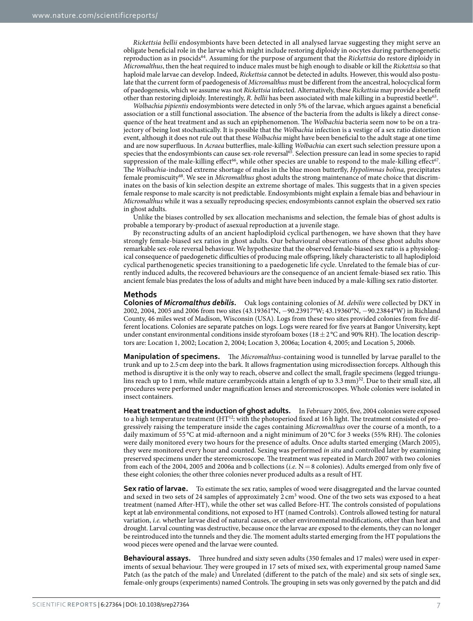*Rickettsia bellii* endosymbionts have been detected in all analysed larvae suggesting they might serve an obligate beneficial role in the larvae which might include restoring diploidy in oocytes during parthenogenetic reproduction as in psocid[s64.](#page-10-8) Assuming for the purpose of argument that the *Rickettsia* do restore diploidy in *Micromalthus*, then the heat required to induce males must be high enough to disable or kill the *Rickettsia* so that haploid male larvae can develop. Indeed, *Rickettsia* cannot be detected in adults. However, this would also postulate that the current form of paedogenesis of *Micromalthus* must be different from the ancestral, holocyclical form of paedogenesis, which we assume was not *Rickettsia* infected. Alternatively, these *Rickettsia* may provide a benefit other than restoring diploidy. Interestingly, *R. bellii* has been associated with male killing in a buprestid beetl[e63.](#page-10-7)

*Wolbachia pipientis* endosymbionts were detected in only 5% of the larvae, which argues against a beneficial association or a still functional association. The absence of the bacteria from the adults is likely a direct consequence of the heat treatment and as such an epiphenomenon. The *Wolbachia* bacteria seem now to be on a trajectory of being lost stochastically. It is possible that the *Wolbachia* infection is a vestige of a sex ratio distortion event, although it does not rule out that these *Wolbachia* might have been beneficial to the adult stage at one time and are now superfluous. In *Acraea* butterflies, male-killing *Wolbachia* can exert such selection pressure upon a species that the endosymbionts can cause sex-role reversal<sup>[65](#page-10-9)</sup>. Selection pressure can lead in some species to rapid suppression of the male-killing effect<sup>66</sup>, while other species are unable to respond to the male-killing effect<sup>67</sup>. The *Wolbachia*-induced extreme shortage of males in the blue moon butterfly, *Hypolimnas bolina,* precipitates female promiscuity[68.](#page-10-12) We see in *Micromalthus* ghost adults the strong maintenance of mate choice that discriminates on the basis of kin selection despite an extreme shortage of males. This suggests that in a given species female response to male scarcity is not predictable. Endosymbionts might explain a female bias and behaviour in *Micromalthus* while it was a sexually reproducing species; endosymbionts cannot explain the observed sex ratio in ghost adults.

Unlike the biases controlled by sex allocation mechanisms and selection, the female bias of ghost adults is probable a temporary by-product of asexual reproduction at a juvenile stage.

By reconstructing adults of an ancient haplodiploid cyclical parthenogen, we have shown that they have strongly female-biased sex ratios in ghost adults. Our behavioural observations of these ghost adults show remarkable sex-role reversal behaviour. We hypothesize that the observed female-biased sex ratio is a physiological consequence of paedogenetic difficulties of producing male offspring, likely characteristic to all haplodiploid cyclical parthenogenetic species transitioning to a paedogenetic life cycle. Unrelated to the female bias of currently induced adults, the recovered behaviours are the consequence of an ancient female-biased sex ratio. This ancient female bias predates the loss of adults and might have been induced by a male-killing sex ratio distorter.

#### **Methods**

**Colonies of** *Micromalthus debilis***.** Oak logs containing colonies of *M. debilis* were collected by DKY in 2002, 2004, 2005 and 2006 from two sites (43.19361°N, −90.23917°W; 43.19360°N, −90.23844°W) in Richland County, 46 miles west of Madison, Wisconsin (USA). Logs from these two sites provided colonies from five different locations. Colonies are separate patches on logs. Logs were reared for five years at Bangor University, kept under constant environmental conditions inside styrofoam boxes ( $18 \pm 2$  °C and 90% RH). The location descriptors are: Location 1, 2002; Location 2, 2004; Location 3, 2006a; Location 4, 2005; and Location 5, 2006b.

**Manipulation of specimens.** The *Micromalthus*-containing wood is tunnelled by larvae parallel to the trunk and up to 2.5 cm deep into the bark. It allows fragmentation using microdissection forceps. Although this method is disruptive it is the only way to reach, observe and collect the small, fragile specimens (legged triungu-lins reach up to 1 mm, while mature cerambycoids attain a length of up to 3.3 mm)<sup>[52](#page-10-0)</sup>. Due to their small size, all procedures were performed under magnification lenses and stereomicroscopes. Whole colonies were isolated in insect containers.

**Heat treatment and the induction of ghost adults.** In February 2005, five, 2004 colonies were exposed to a high temperature treatment (HT<sup>12</sup>: with the photoperiod fixed at 16h light. The treatment consisted of progressively raising the temperature inside the cages containing *Micromalthus* over the course of a month, to a daily maximum of 55 °C at mid-afternoon and a night minimum of 20 °C for 3 weeks (55% RH). The colonies were daily monitored every two hours for the presence of adults. Once adults started emerging (March 2005), they were monitored every hour and counted. Sexing was performed *in situ* and controlled later by examining preserved specimens under the stereomicroscope. The treatment was repeated in March 2007 with two colonies from each of the 2004, 2005 and 2006a and b collections (*i.e.* N= 8 colonies). Adults emerged from only five of these eight colonies; the other three colonies never produced adults as a result of HT.

**Sex ratio of larvae.** To estimate the sex ratio, samples of wood were disaggregated and the larvae counted and sexed in two sets of 24 samples of approximately  $2 \text{ cm}^3$  wood. One of the two sets was exposed to a heat treatment (named After-HT), while the other set was called Before-HT. The controls consisted of populations kept at lab environmental conditions, not exposed to HT (named Controls). Controls allowed testing for natural variation, *i.e.* whether larvae died of natural causes, or other environmental modifications, other than heat and drought. Larval counting was destructive, because once the larvae are exposed to the elements, they can no longer be reintroduced into the tunnels and they die. The moment adults started emerging from the HT populations the wood pieces were opened and the larvae were counted.

**Behavioural assays.** Three hundred and sixty seven adults (350 females and 17 males) were used in experiments of sexual behaviour. They were grouped in 17 sets of mixed sex, with experimental group named Same Patch (as the patch of the male) and Unrelated (different to the patch of the male) and six sets of single sex, female-only groups (experiments) named Controls. The grouping in sets was only governed by the patch and did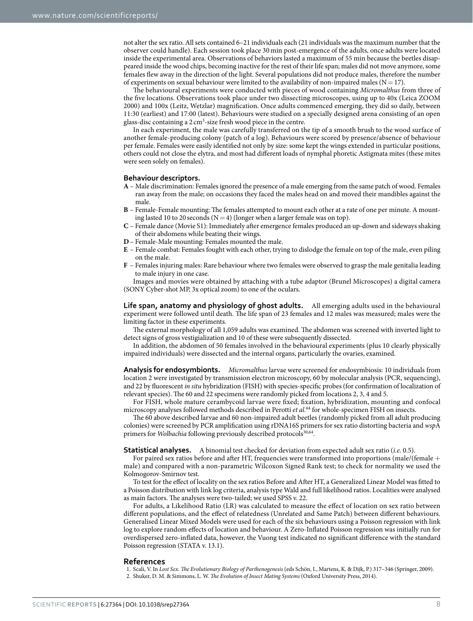not alter the sex ratio. All sets contained 6–21 individuals each (21 individuals was the maximum number that the observer could handle). Each session took place 30 min post-emergence of the adults, once adults were located inside the experimental area. Observations of behaviors lasted a maximum of 55 min because the beetles disappeared inside the wood chips, becoming inactive for the rest of their life span; males did not move anymore, some females flew away in the direction of the light. Several populations did not produce males, therefore the number of experiments on sexual behaviour were limited to the availability of non-impaired males ( $N=17$ ).

The behavioural experiments were conducted with pieces of wood containing *Micromalthus* from three of the five locations. Observations took place under two dissecting microscopes, using up to 40x (Leica ZOOM 2000) and 100x (Leitz, Wetzlar) magnification. Once adults commenced emerging, they did so daily, between 11:30 (earliest) and 17:00 (latest). Behaviours were studied on a specially designed arena consisting of an open glass-disc containing a  $2 \text{ cm}^3$ -size fresh wood piece in the centre.

In each experiment, the male was carefully transferred on the tip of a smooth brush to the wood surface of another female-producing colony (patch of a log). Behaviours were scored by presence/absence of behaviour per female. Females were easily identified not only by size: some kept the wings extended in particular positions, others could not close the elytra, and most had different loads of nymphal phoretic Astigmata mites (these mites were seen solely on females).

#### **Behaviour descriptors.**

- **A** Male discrimination: Females ignored the presence of a male emerging from the same patch of wood. Females ran away from the male; on occasions they faced the males head on and moved their mandibles against the male.
- **B** Female-Female mounting: The females attempted to mount each other at a rate of one per minute. A mounting lasted 10 to 20 seconds ( $N=4$ ) (longer when a larger female was on top).
- **C** Female dance (Movie S1): Immediately after emergence females produced an up-down and sideways shaking of their abdomens while beating their wings.
- **D** Female-Male mounting: Females mounted the male.
- **E** Female combat: Females fought with each other, trying to dislodge the female on top of the male, even piling on the male.
- **F** Females injuring males: Rare behaviour where two females were observed to grasp the male genitalia leading to male injury in one case.

Images and movies were obtained by attaching with a tube adaptor (Brunel Microscopes) a digital camera (SONY Cyber-shot MP, 3x optical zoom) to one of the oculars.

**Life span, anatomy and physiology of ghost adults.** All emerging adults used in the behavioural experiment were followed until death. The life span of 23 females and 12 males was measured; males were the limiting factor in these experiments.

The external morphology of all 1,059 adults was examined. The abdomen was screened with inverted light to detect signs of gross vestigialization and 10 of these were subsequently dissected.

In addition, the abdomen of 50 females involved in the behavioural experiments (plus 10 clearly physically impaired individuals) were dissected and the internal organs, particularly the ovaries, examined.

**Analysis for endosymbionts.** *Micromalthus* larvae were screened for endosymbiosis: 10 individuals from location 2 were investigated by transmission electron microscopy, 60 by molecular analysis (PCR, sequencing), and 22 by fluorescent *in situ* hybridization (FISH) with species-specific probes (for confirmation of localization of relevant species). The 60 and 22 specimens were randomly picked from locations 2, 3, 4 and 5.

For FISH, whole mature cerambycoid larvae were fixed; fixation, hybridization, mounting and confocal microscopy analyses followed methods described in Perotti *et al.*[64](#page-10-8) for whole-specimen FISH on insects.

The 60 above described larvae and 60 non-impaired adult beetles (randomly picked from all adult producing colonies) were screened by PCR amplification using rDNA16S primers for sex ratio distorting bacteria and *wsp*A primers for *Wolbachia* following previously described protocols<sup>[30](#page-9-20),[64](#page-10-8)</sup>.

**Statistical analyses.** A binomial test checked for deviation from expected adult sex ratio (*i.e.* 0.5).

For paired sex ratios before and after HT, frequencies were transformed into proportions (male/(female + male) and compared with a non-parametric Wilcoxon Signed Rank test; to check for normality we used the Kolmogorov-Smirnov test.

To test for the effect of locality on the sex ratios Before and After HT, a Generalized Linear Model was fitted to a Poisson distribution with link log criteria, analysis type Wald and full likelihood ratios. Localities were analysed as main factors. The analyses were two-tailed; we used SPSS v. 22.

For adults, a Likelihood Ratio (LR) was calculated to measure the effect of location on sex ratio between different populations, and the effect of relatedness (Unrelated and Same Patch) between different behaviours. Generalised Linear Mixed Models were used for each of the six behaviours using a Poisson regression with link log to explore random effects of location and behaviour. A Zero-Inflated Poisson regression was initially run for overdispersed zero-inflated data, however, the Vuong test indicated no significant difference with the standard Poisson regression (STATA v. 13.1).

#### **References**

<span id="page-8-0"></span>1. Scali, V. In *Lost Sex. The Evolutionary Biology of Parthenogenesis* (eds Schön, I., Martens, K. & Dijk, P.) 317–346 (Springer, 2009).

<span id="page-8-1"></span>2. Shuker, D. M. & Simmons, L. W. *The Evolution of Insect Mating Systems* (Oxford University Press, 2014).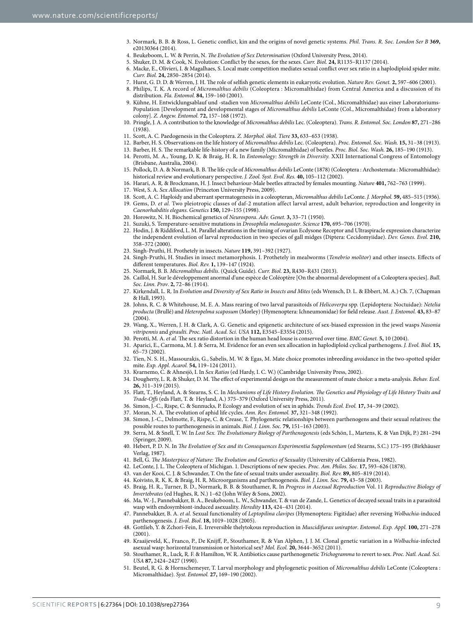- <span id="page-9-0"></span>3. Normark, B. B. & Ross, L. Genetic conflict, kin and the origins of novel genetic systems. *Phil. Trans. R. Soc. London Ser B* **369,** e20130364 (2014).
- 4. Beukeboom, L. W. & Perrin, N. *The Evolution of Sex Determination* (Oxford University Press, 2014).
- 5. Shuker, D. M. & Cook, N. Evolution: Conflict by the sexes, for the sexes. *Curr. Biol.* **24,** R1135–R1137 (2014).
	- 6. Macke, E., Olivieri, I. & Magalhaes, S. Local mate competition mediates sexual conflict over sex ratio in a haplodiploid spider mite. *Curr. Biol.* **24,** 2850–2854 (2014).
	- 7. Hurst, G. D. D. & Werren, J. H. The role of selfish genetic elements in eukaryotic evolution. *Nature Rev. Genet.* **2,** 597–606 (2001).
	- 8. Philips, T. K. A record of *Micromalthus debilis* (Coleoptera : Micromalthidae) from Central America and a discussion of its distribution. *Fla. Entomol.* **84,** 159–160 (2001).
- <span id="page-9-3"></span><span id="page-9-2"></span><span id="page-9-1"></span>9. Kühne, H. Entwicklungsablauf und -stadien von *Micromalthus debilis* LeConte (Col., Micromalthidae) aus einer Laboratoriums-Population [Development and developmental stages of *Micromalthus debilis* LeConte (Col., Micromalthidae) from a laboratory colony]. *Z. Angew. Entomol.* **72,** 157–168 (1972).
- <span id="page-9-30"></span>10. Pringle, J. A. A contribution to the knowledge of *Micromalthus debilis* Lec. (Coleoptera). *Trans. R. Entomol. Soc. London* **87,** 271–286 (1938).
- <span id="page-9-9"></span>11. Scott, A. C. Paedogenesis in the Coleoptera. *Z. Morphol. ökol. Tiere* **33,** 633–653 (1938).
- <span id="page-9-6"></span>12. Barber, H. S. Observations on the life history of *Micromalthus debilis* Lec. (Coleoptera). *Proc. Entomol. Soc. Wash.* **15,** 31–38 (1913).
- 13. Barber, H. S. The remarkable life-history of a new family (Micromalthidae) of beetles. *Proc. Biol. Soc. Wash.* **26,** 185–190 (1913).
- <span id="page-9-4"></span>14. Perotti, M. A., Young, D. K. & Braig, H. R. In *Entomology: Strength in Diversity.* XXII International Congress of Entomology (Brisbane, Australia, 2004).
- <span id="page-9-5"></span>15. Pollock, D. A. & Normark, B. B. The life cycle of *Micromalthus debilis* LeConte (1878) (Coleoptera : Archostemata : Micromalthidae): historical review and evolutionary perspective. *J. Zool. Syst. Evol. Res.* **40,** 105–112 (2002).
- <span id="page-9-8"></span><span id="page-9-7"></span>16. Harari, A. R. & Brockmann, H. J. Insect behaviour-Male beetles attracted by females mounting. *Nature* **401,** 762–763 (1999).
- <span id="page-9-10"></span>17. West, S. A. *Sex Allocation* (Princeton University Press, 2009).
- 18. Scott, A. C. Haploidy and aberrant spermatogenesis in a coleopteran, *Micromalthus debilis* LeConte. *J. Morphol.* **59,** 485–515 (1936).
- <span id="page-9-11"></span>19. Gems, D. *et al.* Two pleiotropic classes of daf-2 mutation affect larval arrest, adult behavior, reproduction and longevity in *Caenorhabditis elegans*. *Genetics* **150,** 129–155 (1998).
- 20. Horowitz, N. H. Biochemical genetics of *Neurospora*. *Adv. Genet.* **3,** 33–71 (1950).
- 21. Suzuki, S. Temperature-sensitive mutations in *Drosophila melanogaster*. *Science* **170,** 695–706 (1970).
- <span id="page-9-12"></span>22. Hodin, J. & Riddiford, L. M. Parallel alterations in the timing of ovarian Ecdysone Receptor and Ultraspiracle expression characterize the independent evolution of larval reproduction in two species of gall midges (Diptera: Cecidomyiidae). *Dev. Genes. Evol.* **210,** 358–372 (2000).
- <span id="page-9-13"></span>23. Singh-Pruthi, H. Prothetely in insects. *Nature* **119,** 391–392 (1927).
- <span id="page-9-14"></span>24. Singh-Pruthi, H. Studies in insect metamorphosis. I. Prothetely in mealworms (*Tenebrio molitor*) and other insects. Effects of different temperatures. *Biol. Rev.* **1,** 139–147 (1924).
- <span id="page-9-15"></span>25. Normark, B. B. *Micromalthus debilis*. (Quick Guide)*. Curr. Biol.* **23,** R430–R431 (2013).
- <span id="page-9-16"></span>26. Caillol, H. Sur le développement anormal d'une espèce de Coléoptère [On the abnormal development of a Coleoptera species]. *Bull. Soc. Linn. Prov*. **2,** 72–86 (1914).
- <span id="page-9-17"></span>27. Kirkendall, L. R. In *Evolution and Diversity of Sex Ratio in Insects and Mites* (eds Wrensch, D. L. & Ebbert, M. A.) Ch. 7, (Chapman & Hall, 1993).
- <span id="page-9-18"></span>28. Johns, R. C. & Whitehouse, M. E. A. Mass rearing of two larval parasitoids of *Helicoverpa* spp. (Lepidoptera: Noctuidae): *Netelia producta* (Brullé) and *Heteropelma scaposum* (Morley) (Hymenoptera: Ichneumonidae) for field release. *Aust. J. Entomol.* **43,** 83–87  $(2004)$
- <span id="page-9-19"></span>29. Wang, X., Werren, J. H. & Clark, A. G. Genetic and epigenetic architecture of sex-biased expression in the jewel wasps *Nasonia vitripennis* and *giraulti*. *Proc. Natl. Acad. Sci. USA* **112,** E3545–E3554 (2015).
- <span id="page-9-21"></span><span id="page-9-20"></span>30. Perotti, M. A. *et al.* The sex ratio distortion in the human head louse is conserved over time. *BMC Genet.* **5,** 10 (2004).
- 31. Aparici, E., Carmona, M. J. & Serra, M. Evidence for an even sex allocation in haplodiploid cyclical parthenogens. *J. Evol. Biol*. **15,** 65–73 (2002).
- <span id="page-9-22"></span>32. Tien, N. S. H., Massourakis, G., Sabelis, M. W. & Egas, M. Mate choice promotes inbreeding avoidance in the two-spotted spider mite. *Exp. Appl. Acarol.* **54,** 119–124 (2011).
- <span id="page-9-24"></span><span id="page-9-23"></span>33. Kvarnemo, C. & Ahnesjö, I. In *Sex Ratios* (ed Hardy, I. C. W.) (Cambridge University Press, 2002).
- 34. Dougherty, L. R. & Shuker, D. M. The effect of experimental design on the measurement of mate choice: a meta-analysis. *Behav. Ecol.* **26,** 311–319 (2015).
- <span id="page-9-25"></span>35. Flatt, T., Heyland, A. & Stearns, S. C. In *Mechanisms of Life History Evolution. The Genetics and Physiology of Life History Traits and Trade-Offs* (eds Flatt, T. & Heyland, A.) 375–379 (Oxford University Press, 2011).
- <span id="page-9-26"></span>36. Simon, J.-C., Rispe, C. & Sunnucks, P. Ecology and evolution of sex in aphids. *Trends Ecol. Evol.* **17,** 34–39 (2002).
- <span id="page-9-28"></span><span id="page-9-27"></span>37. Moran, N. A. The evolution of aphid life cycles. *Ann. Rev. Entomol.* **37,** 321–348 (1992).
- 38. Simon, J.-C., Delmotte, F., Rispe, C. & Crease, T. Phylogenetic relationships between parthenogens and their sexual relatives: the possible routes to parthenogenesis in animals. *Biol. J. Linn. Soc.* **79,** 151–163 (2003).
- <span id="page-9-29"></span>39. Serra, M. & Snell, T. W. In *Lost Sex. The Evolutionary Biology of Parthenogenesis* (eds Schön, I., Martens, K. & Van Dijk, P.) 281–294 (Springer, 2009).
- <span id="page-9-31"></span>40. Hebert, P. D. N. In *The Evolution of Sex and its Consequences Experimentia Supplementum* (ed Stearns, S.C.) 175–195 (Birkhäuser Verlag, 1987).
- <span id="page-9-32"></span>41. Bell, G. *The Masterpiece of Nature: The Evolution and Genetics of Sexuality* (University of California Press, 1982).
- <span id="page-9-33"></span>42. LeConte, J. L. The Coleoptera of Michigan. 1. Descriptions of new species. *Proc. Am. Philos. Soc*. **17,** 593–626 (1878).
- <span id="page-9-34"></span>43. van der Kooi, C. J. & Schwander, T. On the fate of sexual traits under asexuality. *Biol. Rev.* **89,** 805–819 (2014).
- <span id="page-9-35"></span>44. Koivisto, R. K. K. & Braig, H. R. Microorganisms and parthenogenesis. *Biol. J. Linn. Soc.* **79,** 43–58 (2003).
- 45. Braig, H. R., Turner, B. D., Normark, B. B. & Stouthamer, R. In *Progress in Asexual Reproduction* Vol. 11 *Reproductive Biology of Invertebrates* (ed Hughes, R. N.) 1–62 (John Wiley & Sons, 2002).
- <span id="page-9-38"></span>46. Ma, W.-J., Pannebakker, B. A., Beukeboom, L. W., Schwander, T. & van de Zande, L. Genetics of decayed sexual traits in a parasitoid wasp with endosymbiont-induced asexuality. *Heredity* **113,** 424–431 (2014).
- <span id="page-9-36"></span>47. Pannebakker, B. A. *et al.* Sexual functionality of *Leptopilina clavipes* (Hymenoptera: Figitidae) after reversing *Wolbachia*-induced parthenogenesis. *J. Evol. Biol*. **18,** 1019–1028 (2005).
- 48. Gottlieb, Y. & Zchori-Fein, E. Irreversible thelytokous reproduction in *Muscidifurax uniraptor*. *Entomol. Exp. Appl.* **100,** 271–278 (2001).
- 49. Kraaijeveld, K., Franco, P., De Knijff, P., Stouthamer, R. & Van Alphen, J. J. M. Clonal genetic variation in a *Wolbachia*-infected asexual wasp: horizontal transmission or historical sex? *Mol. Ecol.* **20,** 3644–3652 (2011).
- <span id="page-9-37"></span>50. Stouthamer, R., Luck, R. F. & Hamilton, W. R. Antibiotics cause parthenogenetic *Trichogramma* to revert to sex. *Proc. Natl. Acad. Sci. USA* **87,** 2424–2427 (1990).
- <span id="page-9-39"></span>51. Beutel, R. G. & Hornschemeyer, T. Larval morphology and phylogenetic position of *Micromalthus debilis* LeConte (Coleoptera : Micromalthidae). *Syst. Entomol.* **27,** 169–190 (2002).